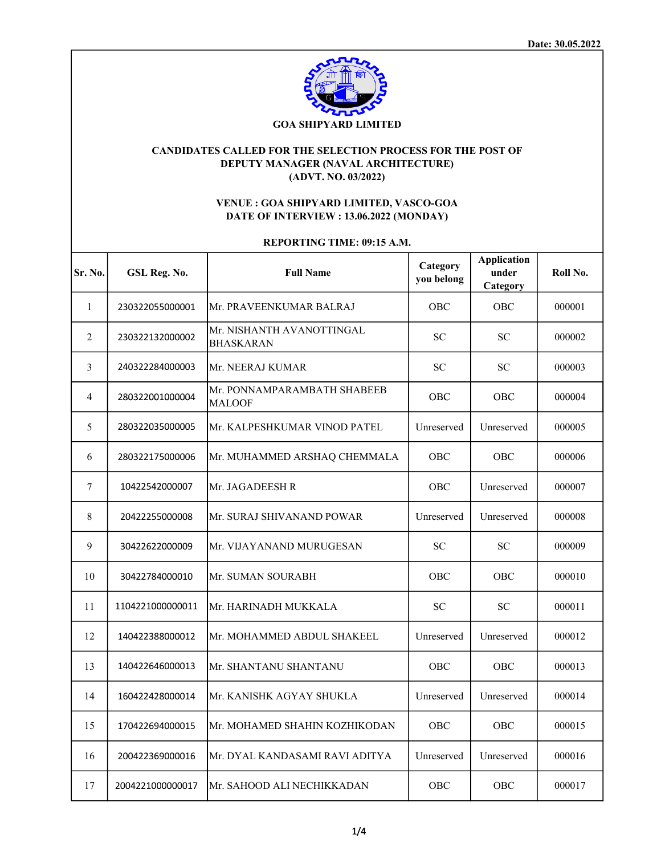

# CANDIDATES CALLED FOR THE SELECTION PROCESS FOR THE POST OF DEPUTY MANAGER (NAVAL ARCHITECTURE) (ADVT. NO. 03/2022)

## VENUE : GOA SHIPYARD LIMITED, VASCO-GOA DATE OF INTERVIEW : 13.06.2022 (MONDAY)

## REPORTING TIME: 09:15 A.M.

| Sr. No.      | GSL Reg. No.     | <b>Full Name</b>                              | Category<br>you belong | <b>Application</b><br>under<br>Category | Roll No. |
|--------------|------------------|-----------------------------------------------|------------------------|-----------------------------------------|----------|
| $\mathbf{1}$ | 230322055000001  | Mr. PRAVEENKUMAR BALRAJ                       | OBC                    | <b>OBC</b>                              | 000001   |
| 2            | 230322132000002  | Mr. NISHANTH AVANOTTINGAL<br><b>BHASKARAN</b> | <b>SC</b>              | <b>SC</b>                               | 000002   |
| 3            | 240322284000003  | Mr. NEERAJ KUMAR                              | <b>SC</b>              | <b>SC</b>                               | 000003   |
| 4            | 280322001000004  | Mr. PONNAMPARAMBATH SHABEEB<br><b>MALOOF</b>  | <b>OBC</b>             | <b>OBC</b>                              | 000004   |
| 5            | 280322035000005  | Mr. KALPESHKUMAR VINOD PATEL                  | Unreserved             | Unreserved                              | 000005   |
| 6            | 280322175000006  | Mr. MUHAMMED ARSHAQ CHEMMALA                  | <b>OBC</b>             | <b>OBC</b>                              | 000006   |
| 7            | 10422542000007   | Mr. JAGADEESH R                               | OBC                    | Unreserved                              | 000007   |
| 8            | 20422255000008   | Mr. SURAJ SHIVANAND POWAR                     | Unreserved             | Unreserved                              | 000008   |
| 9            | 30422622000009   | Mr. VIJAYANAND MURUGESAN                      | ${\rm SC}$             | <b>SC</b>                               | 000009   |
| 10           | 30422784000010   | Mr. SUMAN SOURABH                             | OBC                    | OBC                                     | 000010   |
| 11           | 1104221000000011 | Mr. HARINADH MUKKALA                          | <b>SC</b>              | <b>SC</b>                               | 000011   |
| 12           | 140422388000012  | Mr. MOHAMMED ABDUL SHAKEEL                    | Unreserved             | Unreserved                              | 000012   |
| 13           | 140422646000013  | Mr. SHANTANU SHANTANU                         | OBC                    | OBC                                     | 000013   |
| 14           | 160422428000014  | Mr. KANISHK AGYAY SHUKLA                      | Unreserved             | Unreserved                              | 000014   |
| 15           | 170422694000015  | Mr. MOHAMED SHAHIN KOZHIKODAN                 | OBC                    | OBC                                     | 000015   |
| 16           | 200422369000016  | Mr. DYAL KANDASAMI RAVI ADITYA                | Unreserved             | Unreserved                              | 000016   |
| 17           | 2004221000000017 | Mr. SAHOOD ALI NECHIKKADAN                    | OBC                    | OBC                                     | 000017   |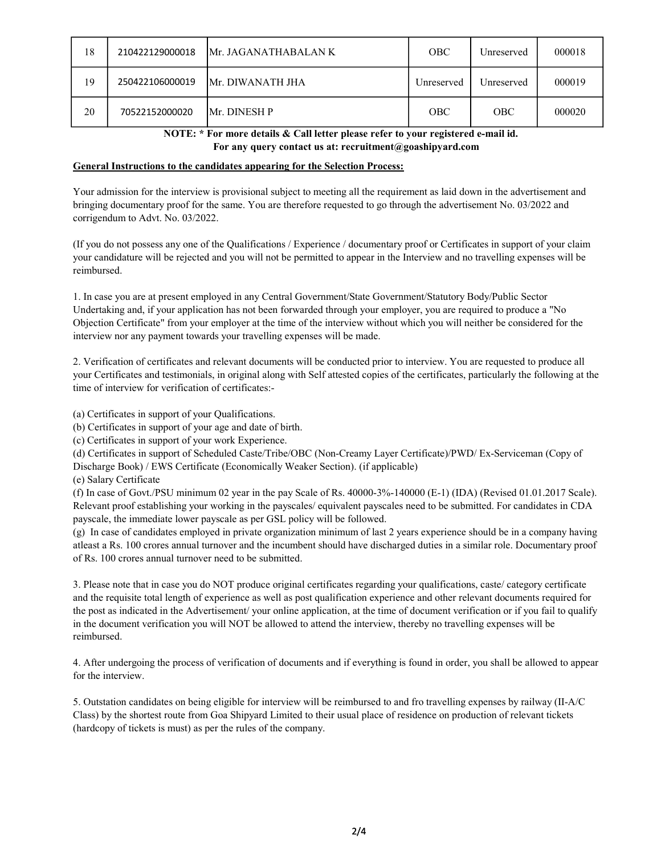| 18 | 210422129000018 | IMr. JAGANATHABALAN K    | <b>OBC</b> | Unreserved | 000018 |
|----|-----------------|--------------------------|------------|------------|--------|
| 19 | 250422106000019 | <b>IMr. DIWANATH JHA</b> | Unreserved | Unreserved | 000019 |
| 20 | 70522152000020  | <b>Mr. DINESH P</b>      | <b>OBC</b> | <b>OBC</b> | 000020 |

 NOTE: \* For more details & Call letter please refer to your registered e-mail id. For any query contact us at: recruitment@goashipyard.com

#### General Instructions to the candidates appearing for the Selection Process:

Your admission for the interview is provisional subject to meeting all the requirement as laid down in the advertisement and bringing documentary proof for the same. You are therefore requested to go through the advertisement No. 03/2022 and corrigendum to Advt. No. 03/2022.

(If you do not possess any one of the Qualifications / Experience / documentary proof or Certificates in support of your claim your candidature will be rejected and you will not be permitted to appear in the Interview and no travelling expenses will be reimbursed.

1. In case you are at present employed in any Central Government/State Government/Statutory Body/Public Sector Undertaking and, if your application has not been forwarded through your employer, you are required to produce a "No Objection Certificate" from your employer at the time of the interview without which you will neither be considered for the interview nor any payment towards your travelling expenses will be made.

2. Verification of certificates and relevant documents will be conducted prior to interview. You are requested to produce all your Certificates and testimonials, in original along with Self attested copies of the certificates, particularly the following at the time of interview for verification of certificates:-

(a) Certificates in support of your Qualifications.

(b) Certificates in support of your age and date of birth.

(c) Certificates in support of your work Experience.

(d) Certificates in support of Scheduled Caste/Tribe/OBC (Non-Creamy Layer Certificate)/PWD/ Ex-Serviceman (Copy of Discharge Book) / EWS Certificate (Economically Weaker Section). (if applicable)

(e) Salary Certificate

(f) In case of Govt./PSU minimum 02 year in the pay Scale of Rs. 40000-3%-140000 (E-1) (IDA) (Revised 01.01.2017 Scale). Relevant proof establishing your working in the payscales/ equivalent payscales need to be submitted. For candidates in CDA payscale, the immediate lower payscale as per GSL policy will be followed.

(g) In case of candidates employed in private organization minimum of last 2 years experience should be in a company having atleast a Rs. 100 crores annual turnover and the incumbent should have discharged duties in a similar role. Documentary proof of Rs. 100 crores annual turnover need to be submitted.

3. Please note that in case you do NOT produce original certificates regarding your qualifications, caste/ category certificate and the requisite total length of experience as well as post qualification experience and other relevant documents required for the post as indicated in the Advertisement/ your online application, at the time of document verification or if you fail to qualify in the document verification you will NOT be allowed to attend the interview, thereby no travelling expenses will be reimbursed.

4. After undergoing the process of verification of documents and if everything is found in order, you shall be allowed to appear for the interview.

5. Outstation candidates on being eligible for interview will be reimbursed to and fro travelling expenses by railway (II-A/C Class) by the shortest route from Goa Shipyard Limited to their usual place of residence on production of relevant tickets (hardcopy of tickets is must) as per the rules of the company.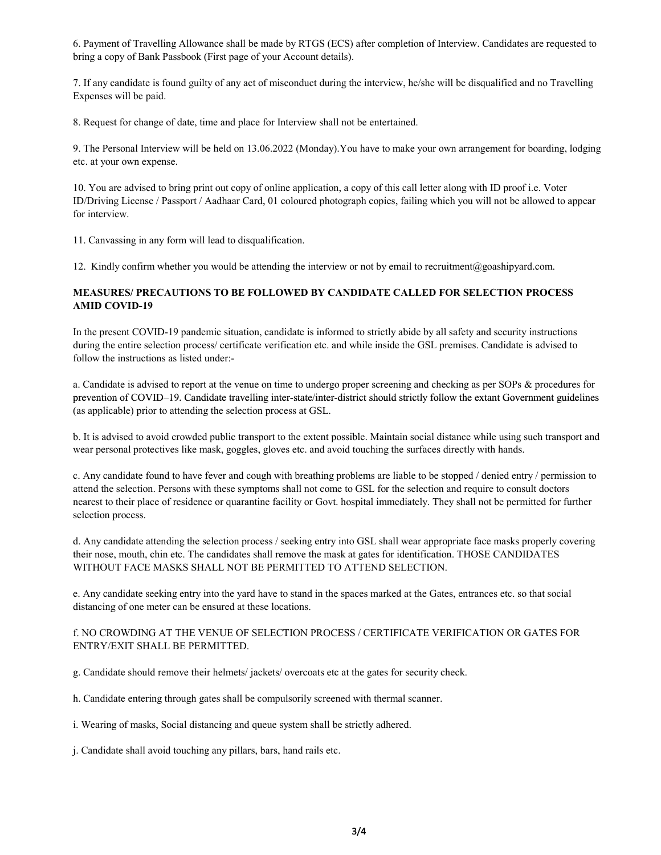6. Payment of Travelling Allowance shall be made by RTGS (ECS) after completion of Interview. Candidates are requested to bring a copy of Bank Passbook (First page of your Account details).

7. If any candidate is found guilty of any act of misconduct during the interview, he/she will be disqualified and no Travelling Expenses will be paid.

8. Request for change of date, time and place for Interview shall not be entertained.

9. The Personal Interview will be held on 13.06.2022 (Monday).You have to make your own arrangement for boarding, lodging etc. at your own expense.

10. You are advised to bring print out copy of online application, a copy of this call letter along with ID proof i.e. Voter ID/Driving License / Passport / Aadhaar Card, 01 coloured photograph copies, failing which you will not be allowed to appear for interview.

11. Canvassing in any form will lead to disqualification.

12. Kindly confirm whether you would be attending the interview or not by email to recruitment@goashipyard.com.

## MEASURES/ PRECAUTIONS TO BE FOLLOWED BY CANDIDATE CALLED FOR SELECTION PROCESS AMID COVID-19

In the present COVID-19 pandemic situation, candidate is informed to strictly abide by all safety and security instructions during the entire selection process/ certificate verification etc. and while inside the GSL premises. Candidate is advised to follow the instructions as listed under:-

a. Candidate is advised to report at the venue on time to undergo proper screening and checking as per SOPs & procedures for prevention of COVID–19. Candidate travelling inter-state/inter-district should strictly follow the extant Government guidelines (as applicable) prior to attending the selection process at GSL.

b. It is advised to avoid crowded public transport to the extent possible. Maintain social distance while using such transport and wear personal protectives like mask, goggles, gloves etc. and avoid touching the surfaces directly with hands.

c. Any candidate found to have fever and cough with breathing problems are liable to be stopped / denied entry / permission to attend the selection. Persons with these symptoms shall not come to GSL for the selection and require to consult doctors nearest to their place of residence or quarantine facility or Govt. hospital immediately. They shall not be permitted for further selection process.

d. Any candidate attending the selection process / seeking entry into GSL shall wear appropriate face masks properly covering their nose, mouth, chin etc. The candidates shall remove the mask at gates for identification. THOSE CANDIDATES WITHOUT FACE MASKS SHALL NOT BE PERMITTED TO ATTEND SELECTION.

e. Any candidate seeking entry into the yard have to stand in the spaces marked at the Gates, entrances etc. so that social distancing of one meter can be ensured at these locations.

## f. NO CROWDING AT THE VENUE OF SELECTION PROCESS / CERTIFICATE VERIFICATION OR GATES FOR ENTRY/EXIT SHALL BE PERMITTED.

g. Candidate should remove their helmets/ jackets/ overcoats etc at the gates for security check.

h. Candidate entering through gates shall be compulsorily screened with thermal scanner.

i. Wearing of masks, Social distancing and queue system shall be strictly adhered.

j. Candidate shall avoid touching any pillars, bars, hand rails etc.